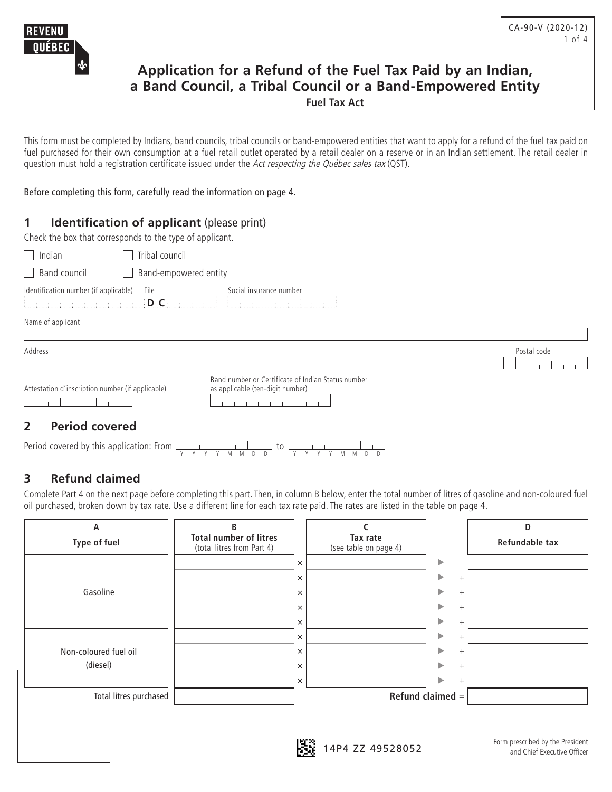

## **Application for a Refund of the Fuel Tax Paid by an Indian, a Band Council, a Tribal Council or a Band-Empowered Entity Fuel Tax Act**

This form must be completed by Indians, band councils, tribal councils or band-empowered entities that want to apply for a refund of the fuel tax paid on fuel purchased for their own consumption at a fuel retail outlet operated by a retail dealer on a reserve or in an Indian settlement. The retail dealer in question must hold a registration certificate issued under the Act respecting the Québec sales tax (QST).

Before completing this form, carefully read the information on page 4.

## **1 Identification of applicant** (please print)

|  | Check the box that corresponds to the type of applicant. |  |  |  |
|--|----------------------------------------------------------|--|--|--|
|  |                                                          |  |  |  |

| Indian<br>Tribal council                              |                                                                                        |             |
|-------------------------------------------------------|----------------------------------------------------------------------------------------|-------------|
| $\Box$ Band council                                   | Band-empowered entity                                                                  |             |
| Identification number (if applicable)<br>File<br>D.C. | Social insurance number                                                                |             |
| Name of applicant                                     |                                                                                        |             |
| Address                                               |                                                                                        | Postal code |
|                                                       |                                                                                        |             |
| Attestation d'inscription number (if applicable)      | Band number or Certificate of Indian Status number<br>as applicable (ten-digit number) |             |
| Dovind covered<br>ר                                   |                                                                                        |             |

### **2 Period covered**

| Period covered by this application: From $\boxed{\phantom{a}1 \phantom{a}1 \phantom{a}1 \phantom{a}1 \phantom{a}1 \phantom{a}1 \phantom{a}1}$ to $\boxed{\phantom{a}1 \phantom{a}1 \phantom{a}1 \phantom{a}1 \phantom{a}1 \phantom{a}1 \phantom{a}1 \phantom{a}1 \phantom{a}1 \phantom{a}1 \phantom{a}1 \phantom{a}1 \phantom{a}1 \phantom{a}1 \phantom{a}1 \phantom{a}1 \phantom{a}1$ |  |  |  |  |                   |  |  |  |  |
|----------------------------------------------------------------------------------------------------------------------------------------------------------------------------------------------------------------------------------------------------------------------------------------------------------------------------------------------------------------------------------------|--|--|--|--|-------------------|--|--|--|--|
|                                                                                                                                                                                                                                                                                                                                                                                        |  |  |  |  | YYYYMMDD YYYYMMDD |  |  |  |  |

## **3 Refund claimed**

Complete Part 4 on the next page before completing this part. Then, in column B below, enter the total number of litres of gasoline and non-coloured fuel oil purchased, broken down by tax rate. Use a different line for each tax rate paid. The rates are listed in the table on page 4.

| А                      | B                                                           |                                   |                    | D              |
|------------------------|-------------------------------------------------------------|-----------------------------------|--------------------|----------------|
| Type of fuel           | <b>Total number of litres</b><br>(total litres from Part 4) | Tax rate<br>(see table on page 4) |                    | Refundable tax |
|                        | $\times$                                                    |                                   | ▶                  |                |
|                        | $\times$                                                    |                                   | $^+$               |                |
| Gasoline               | $\times$                                                    |                                   | $^{+}$             |                |
|                        | $\times$                                                    |                                   | ▶<br>$^{+}$        |                |
|                        | $\times$                                                    |                                   | ▶<br>$^{+}$        |                |
|                        | $\times$                                                    |                                   | ь<br>$^{+}$        |                |
| Non-coloured fuel oil  | $\times$                                                    |                                   | ь<br>$^{+}$        |                |
| (diesel)               | $\times$                                                    |                                   | ь<br>$^{+}$        |                |
|                        | $\times$                                                    |                                   | $^{+}$             |                |
| Total litres purchased |                                                             |                                   | Refund claimed $=$ |                |
|                        |                                                             |                                   |                    |                |

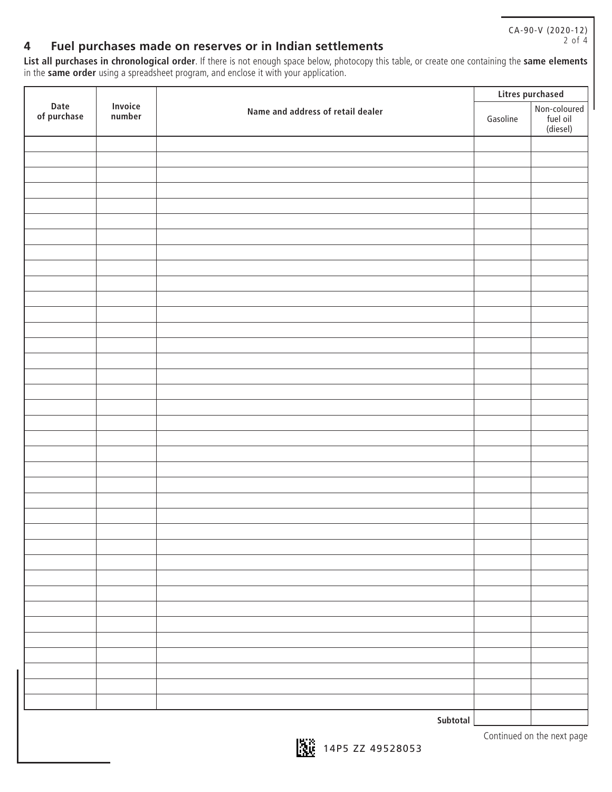CA-90-V (2020-12) 2 of 4

## **4 Fuel purchases made on reserves or in Indian settlements**

**List all purchases in chronological order**. If there is not enough space below, photocopy this table, or create one containing the **same elements**  in the **same order** using a spreadsheet program, and enclose it with your application.

|                     |                          |                                   | Litres purchased |                                      |  |  |
|---------------------|--------------------------|-----------------------------------|------------------|--------------------------------------|--|--|
| Date<br>of purchase | <b>Invoice</b><br>number | Name and address of retail dealer | Gasoline         | Non-coloured<br>fuel oil<br>(diesel) |  |  |
|                     |                          |                                   |                  |                                      |  |  |
|                     |                          |                                   |                  |                                      |  |  |
|                     |                          |                                   |                  |                                      |  |  |
|                     |                          |                                   |                  |                                      |  |  |
|                     |                          |                                   |                  |                                      |  |  |
|                     |                          |                                   |                  |                                      |  |  |
|                     |                          |                                   |                  |                                      |  |  |
|                     |                          |                                   |                  |                                      |  |  |
|                     |                          |                                   |                  |                                      |  |  |
|                     |                          |                                   |                  |                                      |  |  |
|                     |                          |                                   |                  |                                      |  |  |
|                     |                          |                                   |                  |                                      |  |  |
|                     |                          |                                   |                  |                                      |  |  |
|                     |                          |                                   |                  |                                      |  |  |
|                     |                          |                                   |                  |                                      |  |  |
|                     |                          |                                   |                  |                                      |  |  |
|                     |                          |                                   |                  |                                      |  |  |
|                     |                          |                                   |                  |                                      |  |  |
|                     |                          |                                   |                  |                                      |  |  |
|                     |                          |                                   |                  |                                      |  |  |
|                     |                          |                                   |                  |                                      |  |  |
|                     |                          |                                   |                  |                                      |  |  |
|                     |                          |                                   |                  |                                      |  |  |
|                     |                          |                                   |                  |                                      |  |  |
|                     |                          |                                   |                  |                                      |  |  |
|                     |                          |                                   |                  |                                      |  |  |
|                     |                          |                                   |                  |                                      |  |  |
|                     |                          |                                   |                  |                                      |  |  |
|                     |                          |                                   |                  |                                      |  |  |
|                     |                          |                                   |                  |                                      |  |  |
|                     |                          |                                   |                  |                                      |  |  |
|                     |                          |                                   |                  |                                      |  |  |
|                     |                          |                                   |                  |                                      |  |  |
|                     |                          |                                   |                  |                                      |  |  |
|                     |                          |                                   |                  |                                      |  |  |
|                     |                          | Subtotal                          |                  |                                      |  |  |

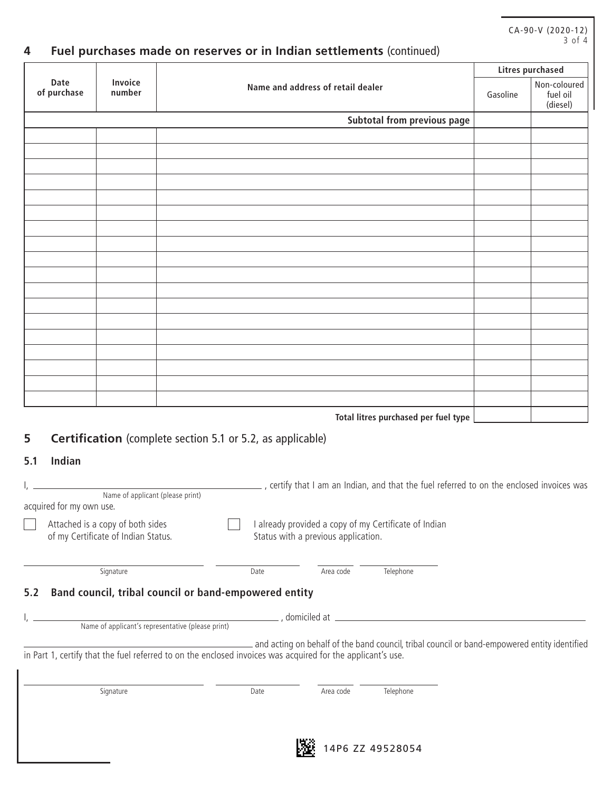# **Date of purchase Invoice Name and address of retail dealer Litres purchased** Gasoline Non-coloured fuel oil (diesel) **Subtotal from previous page Total litres purchased per fuel type**

## **4 Fuel purchases made on reserves or in Indian settlements** (continued)

## **5 Certification** (complete section 5.1 or 5.2, as applicable)

#### **5.1 Indian**

| Name of applicant (please print)<br>acquired for my own use.                                                                                                                                                                     |      |                              | , certify that I am an Indian, and that the fuel referred to on the enclosed invoices was    |  |  |  |  |  |  |  |
|----------------------------------------------------------------------------------------------------------------------------------------------------------------------------------------------------------------------------------|------|------------------------------|----------------------------------------------------------------------------------------------|--|--|--|--|--|--|--|
| Attached is a copy of both sides<br>already provided a copy of my Certificate of Indian<br>of my Certificate of Indian Status.<br>Status with a previous application.                                                            |      |                              |                                                                                              |  |  |  |  |  |  |  |
| Signature                                                                                                                                                                                                                        | Date | Area code                    | Telephone                                                                                    |  |  |  |  |  |  |  |
| Band council, tribal council or band-empowered entity<br>5.2<br>Name of applicant's representative (please print)<br>in Part 1, certify that the fuel referred to on the enclosed invoices was acquired for the applicant's use. |      |                              | and acting on behalf of the band council, tribal council or band-empowered entity identified |  |  |  |  |  |  |  |
| Signature                                                                                                                                                                                                                        | Date | Area code                    | Telephone                                                                                    |  |  |  |  |  |  |  |
|                                                                                                                                                                                                                                  |      | <b><i><u>BALLARA</u></i></b> |                                                                                              |  |  |  |  |  |  |  |